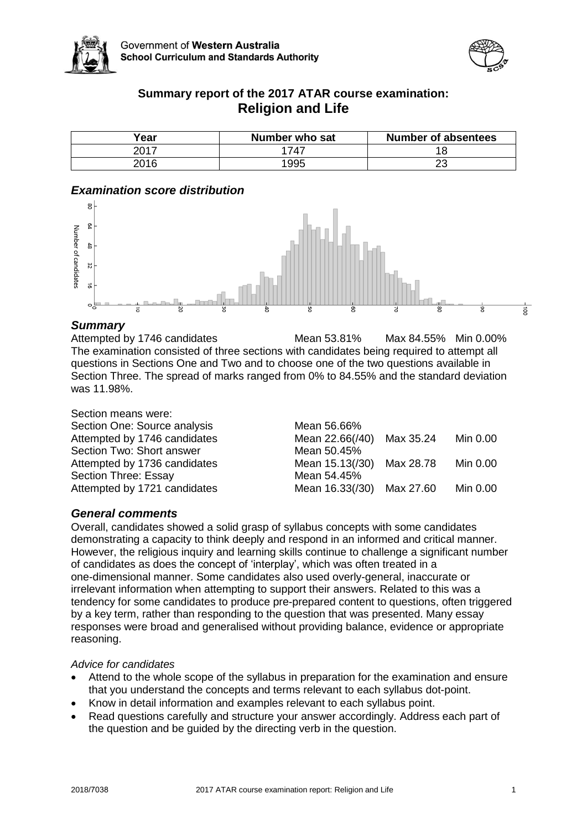



# **Summary report of the 2017 ATAR course examination: Religion and Life**

| Year | Number who sat | <b>Number of absentees</b> |
|------|----------------|----------------------------|
| 2017 | 1747           |                            |
| 2016 | 995            | n,<br>∠⊾                   |

# *Examination score distribution*



## *Summary*

Attempted by 1746 candidates Mean 53.81% Max 84.55% Min 0.00% The examination consisted of three sections with candidates being required to attempt all questions in Sections One and Two and to choose one of the two questions available in Section Three. The spread of marks ranged from 0% to 84.55% and the standard deviation was 11.98%.

| Section means were:          |               |
|------------------------------|---------------|
| Section One: Source analysis | Mean 56.66%   |
| Attempted by 1746 candidates | Mean 22.66(/4 |
| Section Two: Short answer    | Mean 50.45%   |
| Attempted by 1736 candidates | Mean 15.13(/3 |
| Section Three: Essay         | Mean 54.45%   |
| Attempted by 1721 candidates | Mean 16.33(/3 |

| Section One: Source analysis | Mean 56.66%               |           |          |
|------------------------------|---------------------------|-----------|----------|
| Attempted by 1746 candidates | Mean 22.66(/40)           | Max 35.24 | Min 0.00 |
| Section Two: Short answer    | Mean 50.45%               |           |          |
| Attempted by 1736 candidates | Mean 15.13(/30) Max 28.78 |           | Min 0.00 |
| Section Three: Essay         | Mean 54.45%               |           |          |
| Attempted by 1721 candidates | Mean 16.33(/30) Max 27.60 |           | Min 0.00 |

# *General comments*

Overall, candidates showed a solid grasp of syllabus concepts with some candidates demonstrating a capacity to think deeply and respond in an informed and critical manner. However, the religious inquiry and learning skills continue to challenge a significant number of candidates as does the concept of 'interplay', which was often treated in a one-dimensional manner. Some candidates also used overly-general, inaccurate or irrelevant information when attempting to support their answers. Related to this was a tendency for some candidates to produce pre-prepared content to questions, often triggered by a key term, rather than responding to the question that was presented. Many essay responses were broad and generalised without providing balance, evidence or appropriate reasoning.

## *Advice for candidates*

- Attend to the whole scope of the syllabus in preparation for the examination and ensure that you understand the concepts and terms relevant to each syllabus dot-point.
- Know in detail information and examples relevant to each syllabus point.
- Read questions carefully and structure your answer accordingly. Address each part of the question and be guided by the directing verb in the question.